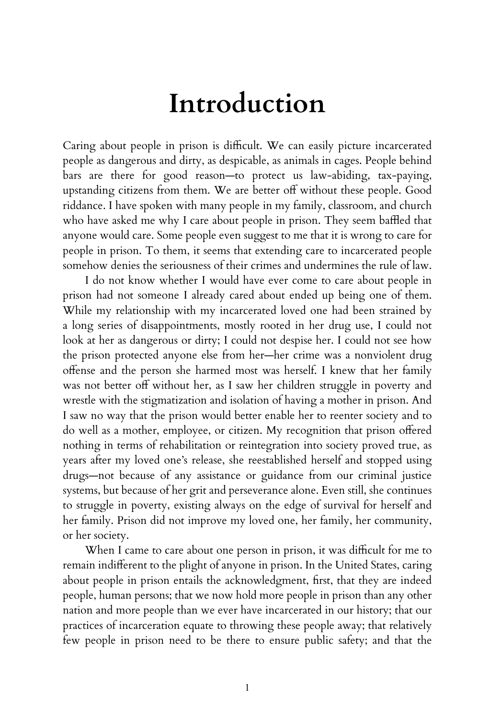## **Introduction**

Caring about people in prison is difficult. We can easily picture incarcerated people as dangerous and dirty, as despicable, as animals in cages. People behind bars are there for good reason—to protect us law-abiding, tax-paying, upstanding citizens from them. We are better off without these people. Good riddance. I have spoken with many people in my family, classroom, and church who have asked me why I care about people in prison. They seem baffled that anyone would care. Some people even suggest to me that it is wrong to care for people in prison. To them, it seems that extending care to incarcerated people somehow denies the seriousness of their crimes and undermines the rule of law.

I do not know whether I would have ever come to care about people in prison had not someone I already cared about ended up being one of them. While my relationship with my incarcerated loved one had been strained by a long series of disappointments, mostly rooted in her drug use, I could not look at her as dangerous or dirty; I could not despise her. I could not see how the prison protected anyone else from her—her crime was a nonviolent drug offense and the person she harmed most was herself. I knew that her family was not better off without her, as I saw her children struggle in poverty and wrestle with the stigmatization and isolation of having a mother in prison. And I saw no way that the prison would better enable her to reenter society and to do well as a mother, employee, or citizen. My recognition that prison offered nothing in terms of rehabilitation or reintegration into society proved true, as years after my loved one's release, she reestablished herself and stopped using drugs—not because of any assistance or guidance from our criminal justice systems, but because of her grit and perseverance alone. Even still, she continues to struggle in poverty, existing always on the edge of survival for herself and her family. Prison did not improve my loved one, her family, her community, or her society.

When I came to care about one person in prison, it was difficult for me to remain indifferent to the plight of anyone in prison. In the United States, caring about people in prison entails the acknowledgment, first, that they are indeed people, human persons; that we now hold more people in prison than any other nation and more people than we ever have incarcerated in our history; that our practices of incarceration equate to throwing these people away; that relatively few people in prison need to be there to ensure public safety; and that the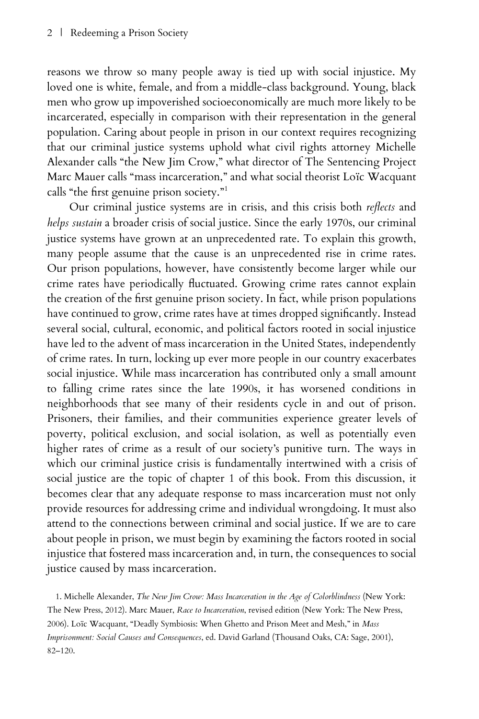reasons we throw so many people away is tied up with social injustice. My loved one is white, female, and from a middle-class background. Young, black men who grow up impoverished socioeconomically are much more likely to be incarcerated, especially in comparison with their representation in the general population. Caring about people in prison in our context requires recognizing that our criminal justice systems uphold what civil rights attorney Michelle Alexander calls "the New Jim Crow," what director of The Sentencing Project Marc Mauer calls "mass incarceration," and what social theorist Loïc Wacquant calls "the first genuine prison society."<sup>1</sup>

Our criminal justice systems are in crisis, and this crisis both *reflects* and *helps sustain* a broader crisis of social justice. Since the early 1970s, our criminal justice systems have grown at an unprecedented rate. To explain this growth, many people assume that the cause is an unprecedented rise in crime rates. Our prison populations, however, have consistently become larger while our crime rates have periodically fluctuated. Growing crime rates cannot explain the creation of the first genuine prison society. In fact, while prison populations have continued to grow, crime rates have at times dropped significantly. Instead several social, cultural, economic, and political factors rooted in social injustice have led to the advent of mass incarceration in the United States, independently of crime rates. In turn, locking up ever more people in our country exacerbates social injustice. While mass incarceration has contributed only a small amount to falling crime rates since the late 1990s, it has worsened conditions in neighborhoods that see many of their residents cycle in and out of prison. Prisoners, their families, and their communities experience greater levels of poverty, political exclusion, and social isolation, as well as potentially even higher rates of crime as a result of our society's punitive turn. The ways in which our criminal justice crisis is fundamentally intertwined with a crisis of social justice are the topic of chapter 1 of this book. From this discussion, it becomes clear that any adequate response to mass incarceration must not only provide resources for addressing crime and individual wrongdoing. It must also attend to the connections between criminal and social justice. If we are to care about people in prison, we must begin by examining the factors rooted in social injustice that fostered mass incarceration and, in turn, the consequences to social justice caused by mass incarceration.

1. Michelle Alexander, *The New Jim Crow: Mass Incarceration in the Age of Colorblindness* (New York: The New Press, 2012). Marc Mauer, *Race to Incarceration*, revised edition (New York: The New Press, 2006). Loïc Wacquant, "Deadly Symbiosis: When Ghetto and Prison Meet and Mesh," in *Mass Imprisonment: Social Causes and Consequences*, ed. David Garland (Thousand Oaks, CA: Sage, 2001), 82–120.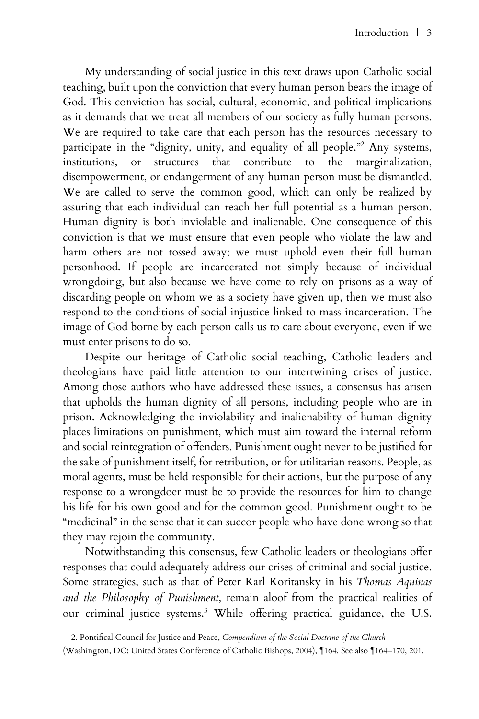My understanding of social justice in this text draws upon Catholic social teaching, built upon the conviction that every human person bears the image of God. This conviction has social, cultural, economic, and political implications as it demands that we treat all members of our society as fully human persons. We are required to take care that each person has the resources necessary to participate in the "dignity, unity, and equality of all people."<sup>2</sup> Any systems, institutions, or structures that contribute to the marginalization, disempowerment, or endangerment of any human person must be dismantled. We are called to serve the common good, which can only be realized by assuring that each individual can reach her full potential as a human person. Human dignity is both inviolable and inalienable. One consequence of this conviction is that we must ensure that even people who violate the law and harm others are not tossed away; we must uphold even their full human personhood. If people are incarcerated not simply because of individual wrongdoing, but also because we have come to rely on prisons as a way of discarding people on whom we as a society have given up, then we must also respond to the conditions of social injustice linked to mass incarceration. The image of God borne by each person calls us to care about everyone, even if we must enter prisons to do so.

Despite our heritage of Catholic social teaching, Catholic leaders and theologians have paid little attention to our intertwining crises of justice. Among those authors who have addressed these issues, a consensus has arisen that upholds the human dignity of all persons, including people who are in prison. Acknowledging the inviolability and inalienability of human dignity places limitations on punishment, which must aim toward the internal reform and social reintegration of offenders. Punishment ought never to be justified for the sake of punishment itself, for retribution, or for utilitarian reasons. People, as moral agents, must be held responsible for their actions, but the purpose of any response to a wrongdoer must be to provide the resources for him to change his life for his own good and for the common good. Punishment ought to be "medicinal" in the sense that it can succor people who have done wrong so that they may rejoin the community.

Notwithstanding this consensus, few Catholic leaders or theologians offer responses that could adequately address our crises of criminal and social justice. Some strategies, such as that of Peter Karl Koritansky in his *Thomas Aquinas and the Philosophy of Punishment*, remain aloof from the practical realities of our criminal justice systems.<sup>3</sup> While offering practical guidance, the U.S.

<sup>2.</sup> Pontifical Council for Justice and Peace, *Compendium of the Social Doctrine of the Church*

<sup>(</sup>Washington, DC: United States Conference of Catholic Bishops, 2004), ¶164. See also ¶164–170, 201.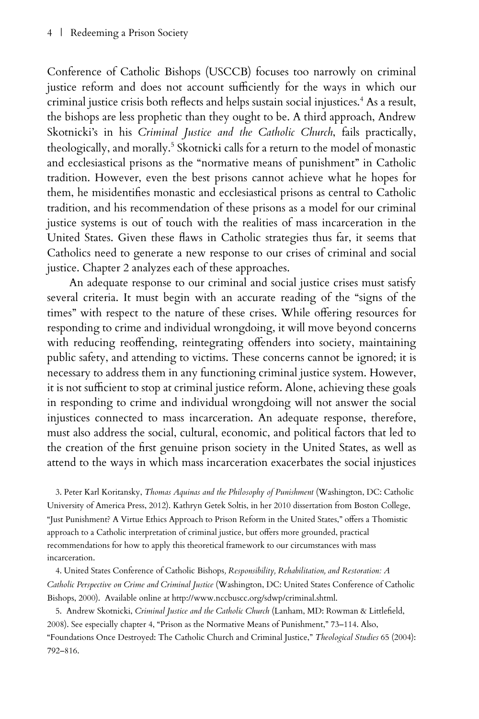Conference of Catholic Bishops (USCCB) focuses too narrowly on criminal justice reform and does not account sufficiently for the ways in which our criminal justice crisis both reflects and helps sustain social injustices.<sup>4</sup> As a result, the bishops are less prophetic than they ought to be. A third approach, Andrew Skotnicki's in his *Criminal Justice and the Catholic Church*, fails practically, theologically, and morally.<sup>5</sup> Skotnicki calls for a return to the model of monastic and ecclesiastical prisons as the "normative means of punishment" in Catholic tradition. However, even the best prisons cannot achieve what he hopes for them, he misidentifies monastic and ecclesiastical prisons as central to Catholic tradition, and his recommendation of these prisons as a model for our criminal justice systems is out of touch with the realities of mass incarceration in the United States. Given these flaws in Catholic strategies thus far, it seems that Catholics need to generate a new response to our crises of criminal and social justice. Chapter 2 analyzes each of these approaches.

An adequate response to our criminal and social justice crises must satisfy several criteria. It must begin with an accurate reading of the "signs of the times" with respect to the nature of these crises. While offering resources for responding to crime and individual wrongdoing, it will move beyond concerns with reducing reoffending, reintegrating offenders into society, maintaining public safety, and attending to victims. These concerns cannot be ignored; it is necessary to address them in any functioning criminal justice system. However, it is not sufficient to stop at criminal justice reform. Alone, achieving these goals in responding to crime and individual wrongdoing will not answer the social injustices connected to mass incarceration. An adequate response, therefore, must also address the social, cultural, economic, and political factors that led to the creation of the first genuine prison society in the United States, as well as attend to the ways in which mass incarceration exacerbates the social injustices

3. Peter Karl Koritansky, *Thomas Aquinas and the Philosophy of Punishment* (Washington, DC: Catholic University of America Press, 2012). Kathryn Getek Soltis, in her 2010 dissertation from Boston College, "Just Punishment? A Virtue Ethics Approach to Prison Reform in the United States," offers a Thomistic approach to a Catholic interpretation of criminal justice, but offers more grounded, practical recommendations for how to apply this theoretical framework to our circumstances with mass incarceration.

4. United States Conference of Catholic Bishops*, Responsibility, Rehabilitation, and Restoration: A Catholic Perspective on Crime and Criminal Justice* (Washington, DC: United States Conference of Catholic Bishops, 2000). Available online at http://www.nccbuscc.org/sdwp/criminal.shtml.

5. Andrew Skotnicki, *Criminal Justice and the Catholic Church* (Lanham, MD: Rowman & Littlefield, 2008). See especially chapter 4, "Prison as the Normative Means of Punishment," 73–114. Also, "Foundations Once Destroyed: The Catholic Church and Criminal Justice," *Theological Studies* 65 (2004): 792–816.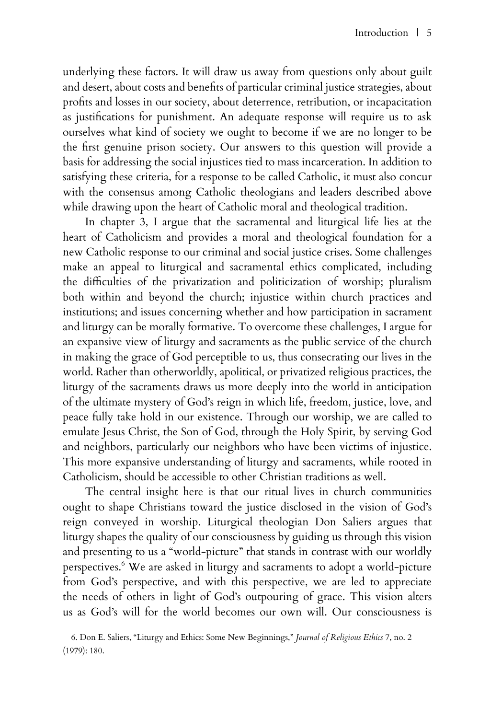underlying these factors. It will draw us away from questions only about guilt and desert, about costs and benefits of particular criminal justice strategies, about profits and losses in our society, about deterrence, retribution, or incapacitation as justifications for punishment. An adequate response will require us to ask ourselves what kind of society we ought to become if we are no longer to be the first genuine prison society. Our answers to this question will provide a basis for addressing the social injustices tied to mass incarceration. In addition to satisfying these criteria, for a response to be called Catholic, it must also concur with the consensus among Catholic theologians and leaders described above while drawing upon the heart of Catholic moral and theological tradition.

In chapter 3, I argue that the sacramental and liturgical life lies at the heart of Catholicism and provides a moral and theological foundation for a new Catholic response to our criminal and social justice crises. Some challenges make an appeal to liturgical and sacramental ethics complicated, including the difficulties of the privatization and politicization of worship; pluralism both within and beyond the church; injustice within church practices and institutions; and issues concerning whether and how participation in sacrament and liturgy can be morally formative. To overcome these challenges, I argue for an expansive view of liturgy and sacraments as the public service of the church in making the grace of God perceptible to us, thus consecrating our lives in the world. Rather than otherworldly, apolitical, or privatized religious practices, the liturgy of the sacraments draws us more deeply into the world in anticipation of the ultimate mystery of God's reign in which life, freedom, justice, love, and peace fully take hold in our existence. Through our worship, we are called to emulate Jesus Christ, the Son of God, through the Holy Spirit, by serving God and neighbors, particularly our neighbors who have been victims of injustice. This more expansive understanding of liturgy and sacraments, while rooted in Catholicism, should be accessible to other Christian traditions as well.

The central insight here is that our ritual lives in church communities ought to shape Christians toward the justice disclosed in the vision of God's reign conveyed in worship. Liturgical theologian Don Saliers argues that liturgy shapes the quality of our consciousness by guiding us through this vision and presenting to us a "world-picture" that stands in contrast with our worldly perspectives.<sup>6</sup> We are asked in liturgy and sacraments to adopt a world-picture from God's perspective, and with this perspective, we are led to appreciate the needs of others in light of God's outpouring of grace. This vision alters us as God's will for the world becomes our own will. Our consciousness is

<sup>6.</sup> Don E. Saliers, "Liturgy and Ethics: Some New Beginnings," *Journal of Religious Ethics* 7, no. 2 (1979): 180.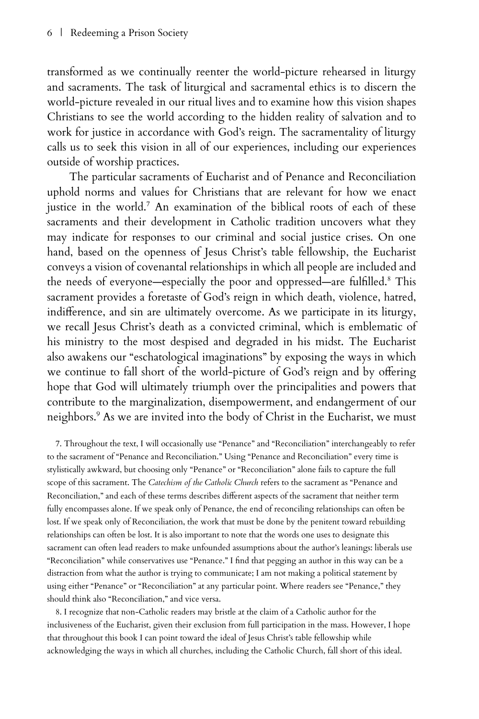transformed as we continually reenter the world-picture rehearsed in liturgy and sacraments. The task of liturgical and sacramental ethics is to discern the world-picture revealed in our ritual lives and to examine how this vision shapes Christians to see the world according to the hidden reality of salvation and to work for justice in accordance with God's reign. The sacramentality of liturgy calls us to seek this vision in all of our experiences, including our experiences outside of worship practices.

The particular sacraments of Eucharist and of Penance and Reconciliation uphold norms and values for Christians that are relevant for how we enact justice in the world.<sup>7</sup> An examination of the biblical roots of each of these sacraments and their development in Catholic tradition uncovers what they may indicate for responses to our criminal and social justice crises. On one hand, based on the openness of Jesus Christ's table fellowship, the Eucharist conveys a vision of covenantal relationships in which all people are included and the needs of everyone—especially the poor and oppressed—are fulfilled.<sup>8</sup> This sacrament provides a foretaste of God's reign in which death, violence, hatred, indifference, and sin are ultimately overcome. As we participate in its liturgy, we recall Jesus Christ's death as a convicted criminal, which is emblematic of his ministry to the most despised and degraded in his midst. The Eucharist also awakens our "eschatological imaginations" by exposing the ways in which we continue to fall short of the world-picture of God's reign and by offering hope that God will ultimately triumph over the principalities and powers that contribute to the marginalization, disempowerment, and endangerment of our neighbors.<sup>9</sup> As we are invited into the body of Christ in the Eucharist, we must

7. Throughout the text, I will occasionally use "Penance" and "Reconciliation" interchangeably to refer to the sacrament of "Penance and Reconciliation." Using "Penance and Reconciliation" every time is stylistically awkward, but choosing only "Penance" or "Reconciliation" alone fails to capture the full scope of this sacrament. The *Catechism of the Catholic Church* refers to the sacrament as "Penance and Reconciliation," and each of these terms describes different aspects of the sacrament that neither term fully encompasses alone. If we speak only of Penance, the end of reconciling relationships can often be lost. If we speak only of Reconciliation, the work that must be done by the penitent toward rebuilding relationships can often be lost. It is also important to note that the words one uses to designate this sacrament can often lead readers to make unfounded assumptions about the author's leanings: liberals use "Reconciliation" while conservatives use "Penance." I find that pegging an author in this way can be a distraction from what the author is trying to communicate; I am not making a political statement by using either "Penance" or "Reconciliation" at any particular point. Where readers see "Penance," they should think also "Reconciliation," and vice versa.

8. I recognize that non-Catholic readers may bristle at the claim of a Catholic author for the inclusiveness of the Eucharist, given their exclusion from full participation in the mass. However, I hope that throughout this book I can point toward the ideal of Jesus Christ's table fellowship while acknowledging the ways in which all churches, including the Catholic Church, fall short of this ideal.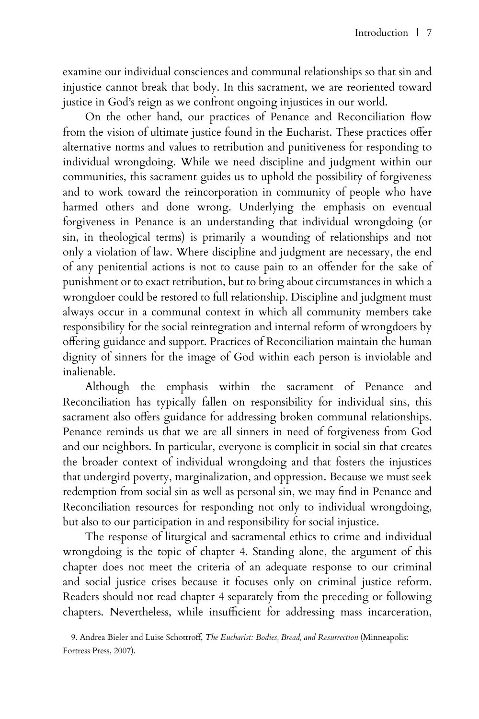examine our individual consciences and communal relationships so that sin and injustice cannot break that body. In this sacrament, we are reoriented toward justice in God's reign as we confront ongoing injustices in our world.

On the other hand, our practices of Penance and Reconciliation flow from the vision of ultimate justice found in the Eucharist. These practices offer alternative norms and values to retribution and punitiveness for responding to individual wrongdoing. While we need discipline and judgment within our communities, this sacrament guides us to uphold the possibility of forgiveness and to work toward the reincorporation in community of people who have harmed others and done wrong. Underlying the emphasis on eventual forgiveness in Penance is an understanding that individual wrongdoing (or sin, in theological terms) is primarily a wounding of relationships and not only a violation of law. Where discipline and judgment are necessary, the end of any penitential actions is not to cause pain to an offender for the sake of punishment or to exact retribution, but to bring about circumstances in which a wrongdoer could be restored to full relationship. Discipline and judgment must always occur in a communal context in which all community members take responsibility for the social reintegration and internal reform of wrongdoers by offering guidance and support. Practices of Reconciliation maintain the human dignity of sinners for the image of God within each person is inviolable and inalienable.

Although the emphasis within the sacrament of Penance and Reconciliation has typically fallen on responsibility for individual sins, this sacrament also offers guidance for addressing broken communal relationships. Penance reminds us that we are all sinners in need of forgiveness from God and our neighbors. In particular, everyone is complicit in social sin that creates the broader context of individual wrongdoing and that fosters the injustices that undergird poverty, marginalization, and oppression. Because we must seek redemption from social sin as well as personal sin, we may find in Penance and Reconciliation resources for responding not only to individual wrongdoing, but also to our participation in and responsibility for social injustice.

The response of liturgical and sacramental ethics to crime and individual wrongdoing is the topic of chapter 4. Standing alone, the argument of this chapter does not meet the criteria of an adequate response to our criminal and social justice crises because it focuses only on criminal justice reform. Readers should not read chapter 4 separately from the preceding or following chapters. Nevertheless, while insufficient for addressing mass incarceration,

<sup>9.</sup> Andrea Bieler and Luise Schottroff, *The Eucharist: Bodies, Bread, and Resurrection* (Minneapolis: Fortress Press, 2007).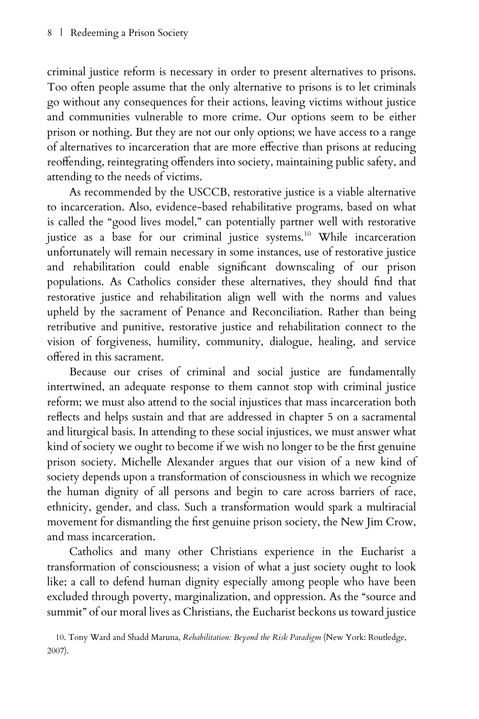criminal justice reform is necessary in order to present alternatives to prisons. Too often people assume that the only alternative to prisons is to let criminals go without any consequences for their actions, leaving victims without justice and communities vulnerable to more crime. Our options seem to be either prison or nothing. But they are not our only options; we have access to a range of alternatives to incarceration that are more effective than prisons at reducing reoffending, reintegrating offenders into society, maintaining public safety, and attending to the needs of victims.

As recommended by the USCCB, restorative justice is a viable alternative to incarceration. Also, evidence-based rehabilitative programs, based on what is called the "good lives model," can potentially partner well with restorative justice as a base for our criminal justice systems.<sup>10</sup> While incarceration unfortunately will remain necessary in some instances, use of restorative justice and rehabilitation could enable significant downscaling of our prison populations. As Catholics consider these alternatives, they should find that restorative justice and rehabilitation align well with the norms and values upheld by the sacrament of Penance and Reconciliation. Rather than being retributive and punitive, restorative justice and rehabilitation connect to the vision of forgiveness, humility, community, dialogue, healing, and service offered in this sacrament.

Because our crises of criminal and social justice are fundamentally intertwined, an adequate response to them cannot stop with criminal justice reform; we must also attend to the social injustices that mass incarceration both reflects and helps sustain and that are addressed in chapter 5 on a sacramental and liturgical basis. In attending to these social injustices, we must answer what kind of society we ought to become if we wish no longer to be the first genuine prison society. Michelle Alexander argues that our vision of a new kind of society depends upon a transformation of consciousness in which we recognize the human dignity of all persons and begin to care across barriers of race, ethnicity, gender, and class. Such a transformation would spark a multiracial movement for dismantling the first genuine prison society, the New Jim Crow, and mass incarceration.

Catholics and many other Christians experience in the Eucharist a transformation of consciousness; a vision of what a just society ought to look like; a call to defend human dignity especially among people who have been excluded through poverty, marginalization, and oppression. As the "source and summit" of our moral lives as Christians, the Eucharist beckons us toward justice

<sup>10.</sup> Tony Ward and Shadd Maruna, *Rehabilitation: Beyond the Risk Paradigm* (New York: Routledge, 2007).